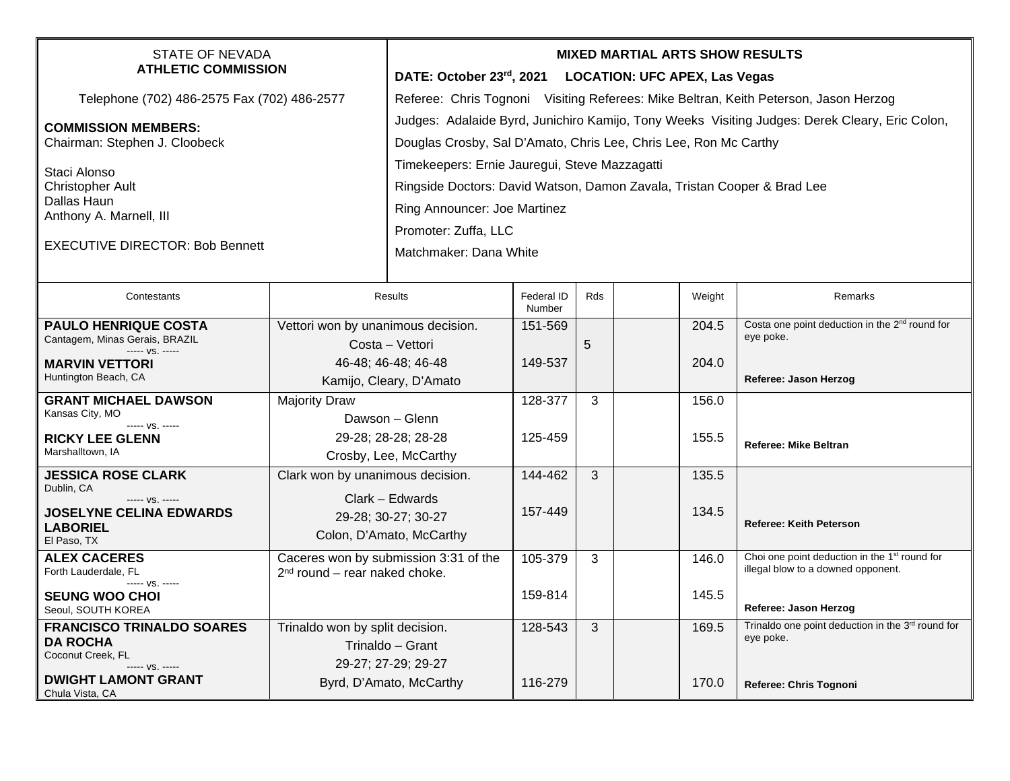| <b>STATE OF NEVADA</b><br><b>ATHLETIC COMMISSION</b>                                                                                             |                                                                                                         | <b>MIXED MARTIAL ARTS SHOW RESULTS</b><br>DATE: October 23rd, 2021 LOCATION: UFC APEX, Las Vegas                                                                                                                                                                                                                                                       |                      |     |  |                |                                                                                                                          |  |
|--------------------------------------------------------------------------------------------------------------------------------------------------|---------------------------------------------------------------------------------------------------------|--------------------------------------------------------------------------------------------------------------------------------------------------------------------------------------------------------------------------------------------------------------------------------------------------------------------------------------------------------|----------------------|-----|--|----------------|--------------------------------------------------------------------------------------------------------------------------|--|
| Telephone (702) 486-2575 Fax (702) 486-2577                                                                                                      |                                                                                                         | Referee: Chris Tognoni Visiting Referees: Mike Beltran, Keith Peterson, Jason Herzog                                                                                                                                                                                                                                                                   |                      |     |  |                |                                                                                                                          |  |
| <b>COMMISSION MEMBERS:</b><br>Chairman: Stephen J. Cloobeck<br>Staci Alonso<br><b>Christopher Ault</b><br>Dallas Haun<br>Anthony A. Marnell, III |                                                                                                         | Judges: Adalaide Byrd, Junichiro Kamijo, Tony Weeks Visiting Judges: Derek Cleary, Eric Colon,<br>Douglas Crosby, Sal D'Amato, Chris Lee, Chris Lee, Ron Mc Carthy<br>Timekeepers: Ernie Jauregui, Steve Mazzagatti<br>Ringside Doctors: David Watson, Damon Zavala, Tristan Cooper & Brad Lee<br>Ring Announcer: Joe Martinez<br>Promoter: Zuffa, LLC |                      |     |  |                |                                                                                                                          |  |
| <b>EXECUTIVE DIRECTOR: Bob Bennett</b>                                                                                                           |                                                                                                         | Matchmaker: Dana White                                                                                                                                                                                                                                                                                                                                 |                      |     |  |                |                                                                                                                          |  |
| Contestants                                                                                                                                      | Results                                                                                                 |                                                                                                                                                                                                                                                                                                                                                        | Federal ID<br>Number | Rds |  | Weight         | <b>Remarks</b>                                                                                                           |  |
| <b>PAULO HENRIQUE COSTA</b><br>Cantagem, Minas Gerais, BRAZIL<br>$--- vs. ---$                                                                   | Vettori won by unanimous decision.<br>Costa - Vettori<br>46-48; 46-48; 46-48<br>Kamijo, Cleary, D'Amato |                                                                                                                                                                                                                                                                                                                                                        | 151-569              | 5   |  | 204.5          | Costa one point deduction in the 2 <sup>nd</sup> round for<br>eye poke.                                                  |  |
| <b>MARVIN VETTORI</b><br>Huntington Beach, CA                                                                                                    |                                                                                                         |                                                                                                                                                                                                                                                                                                                                                        | 149-537              |     |  | 204.0          | Referee: Jason Herzog                                                                                                    |  |
| <b>GRANT MICHAEL DAWSON</b><br>Kansas City, MO<br>----- VS. -----<br><b>RICKY LEE GLENN</b><br>Marshalltown, IA                                  | <b>Majority Draw</b>                                                                                    | Dawson - Glenn<br>29-28; 28-28; 28-28<br>Crosby, Lee, McCarthy                                                                                                                                                                                                                                                                                         | 128-377<br>125-459   | 3   |  | 156.0<br>155.5 | <b>Referee: Mike Beltran</b>                                                                                             |  |
| <b>JESSICA ROSE CLARK</b><br>Dublin, CA<br>----- VS. -----<br><b>JOSELYNE CELINA EDWARDS</b><br><b>LABORIEL</b><br>El Paso, TX                   | Clark won by unanimous decision.<br>Clark - Edwards<br>29-28; 30-27; 30-27<br>Colon, D'Amato, McCarthy  |                                                                                                                                                                                                                                                                                                                                                        | 144-462<br>157-449   | 3   |  | 135.5<br>134.5 | <b>Referee: Keith Peterson</b>                                                                                           |  |
| <b>ALEX CACERES</b><br>Forth Lauderdale, FL<br>----- VS. -----<br><b>SEUNG WOO CHOI</b><br>Seoul, SOUTH KOREA                                    | Caceres won by submission 3:31 of the<br>$2nd$ round – rear naked choke.                                |                                                                                                                                                                                                                                                                                                                                                        | 105-379<br>159-814   | 3   |  | 146.0<br>145.5 | Choi one point deduction in the 1 <sup>st</sup> round for<br>illegal blow to a downed opponent.<br>Referee: Jason Herzog |  |
| <b>FRANCISCO TRINALDO SOARES</b><br><b>DA ROCHA</b><br>Coconut Creek, FL<br>----- VS. -----<br><b>DWIGHT LAMONT GRANT</b><br>Chula Vista, CA     | Trinaldo won by split decision.                                                                         | Trinaldo - Grant<br>29-27; 27-29; 29-27<br>Byrd, D'Amato, McCarthy                                                                                                                                                                                                                                                                                     | 128-543<br>116-279   | 3   |  | 169.5<br>170.0 | Trinaldo one point deduction in the 3rd round for<br>eye poke.<br>Referee: Chris Tognoni                                 |  |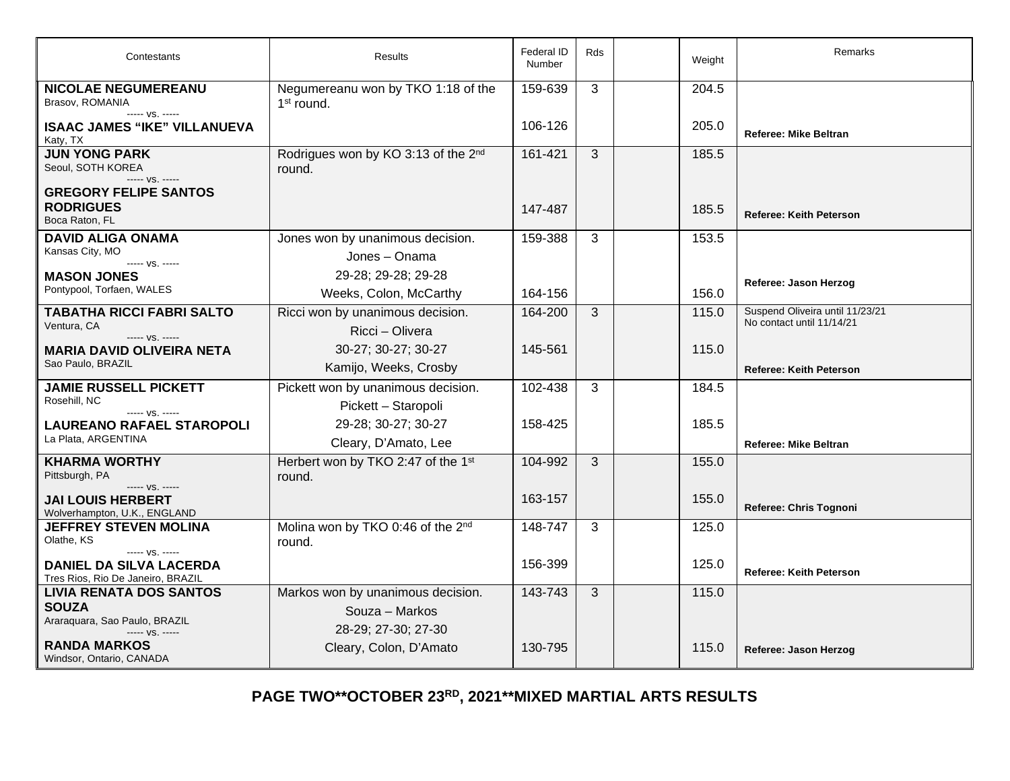| Contestants                                                                            | Results                                                   | Federal ID<br>Number | <b>Rds</b> | Weight | <b>Remarks</b>                                               |
|----------------------------------------------------------------------------------------|-----------------------------------------------------------|----------------------|------------|--------|--------------------------------------------------------------|
| <b>NICOLAE NEGUMEREANU</b><br>Brasov, ROMANIA<br>----- VS. -----                       | Negumereanu won by TKO 1:18 of the<br>$1st$ round.        | 159-639              | 3          | 204.5  |                                                              |
| <b>ISAAC JAMES "IKE" VILLANUEVA</b><br>Katy, TX                                        |                                                           | 106-126              |            | 205.0  | <b>Referee: Mike Beltran</b>                                 |
| <b>JUN YONG PARK</b><br>Seoul, SOTH KOREA<br>----- VS. -----                           | Rodrigues won by KO 3:13 of the 2 <sup>nd</sup><br>round. | 161-421              | 3          | 185.5  |                                                              |
| <b>GREGORY FELIPE SANTOS</b><br><b>RODRIGUES</b><br>Boca Raton, FL                     |                                                           | 147-487              |            | 185.5  | <b>Referee: Keith Peterson</b>                               |
| <b>DAVID ALIGA ONAMA</b><br>Kansas City, MO                                            | Jones won by unanimous decision.<br>Jones - Onama         | 159-388              | 3          | 153.5  |                                                              |
| ----- VS. -----<br><b>MASON JONES</b><br>Pontypool, Torfaen, WALES                     | 29-28; 29-28; 29-28<br>Weeks, Colon, McCarthy             | 164-156              |            | 156.0  | Referee: Jason Herzog                                        |
| <b>TABATHA RICCI FABRI SALTO</b><br>Ventura, CA<br>$--- vs. ---$                       | Ricci won by unanimous decision.<br>Ricci - Olivera       | 164-200              | 3          | 115.0  | Suspend Oliveira until 11/23/21<br>No contact until 11/14/21 |
| MARIA DAVID OLIVEIRA NETA<br>Sao Paulo, BRAZIL                                         | 30-27; 30-27; 30-27<br>Kamijo, Weeks, Crosby              | 145-561              |            | 115.0  | <b>Referee: Keith Peterson</b>                               |
| <b>JAMIE RUSSELL PICKETT</b><br>Rosehill, NC<br>----- VS. -----                        | Pickett won by unanimous decision.<br>Pickett - Staropoli | 102-438              | 3          | 184.5  |                                                              |
| <b>LAUREANO RAFAEL STAROPOLI</b><br>La Plata, ARGENTINA                                | 29-28; 30-27; 30-27<br>Cleary, D'Amato, Lee               | 158-425              |            | 185.5  | <b>Referee: Mike Beltran</b>                                 |
| <b>KHARMA WORTHY</b><br>Pittsburgh, PA<br>----- VS. -----                              | Herbert won by TKO 2:47 of the 1st<br>round.              | 104-992              | 3          | 155.0  |                                                              |
| <b>JAI LOUIS HERBERT</b><br>Wolverhampton, U.K., ENGLAND                               |                                                           | 163-157              |            | 155.0  | Referee: Chris Tognoni                                       |
| <b>JEFFREY STEVEN MOLINA</b><br>Olathe, KS                                             | Molina won by TKO 0:46 of the 2nd<br>round.               | 148-747              | 3          | 125.0  |                                                              |
| ----- VS. -----<br><b>DANIEL DA SILVA LACERDA</b><br>Tres Rios, Rio De Janeiro, BRAZIL |                                                           | 156-399              |            | 125.0  | <b>Referee: Keith Peterson</b>                               |
| <b>LIVIA RENATA DOS SANTOS</b><br><b>SOUZA</b><br>Araraquara, Sao Paulo, BRAZIL        | Markos won by unanimous decision.<br>Souza - Markos       | 143-743              | 3          | 115.0  |                                                              |
| $--- VS. ---$<br><b>RANDA MARKOS</b><br>Windsor, Ontario, CANADA                       | 28-29; 27-30; 27-30<br>Cleary, Colon, D'Amato             | 130-795              |            | 115.0  | Referee: Jason Herzog                                        |

**PAGE TWO\*\*OCTOBER 23RD, 2021\*\*MIXED MARTIAL ARTS RESULTS**